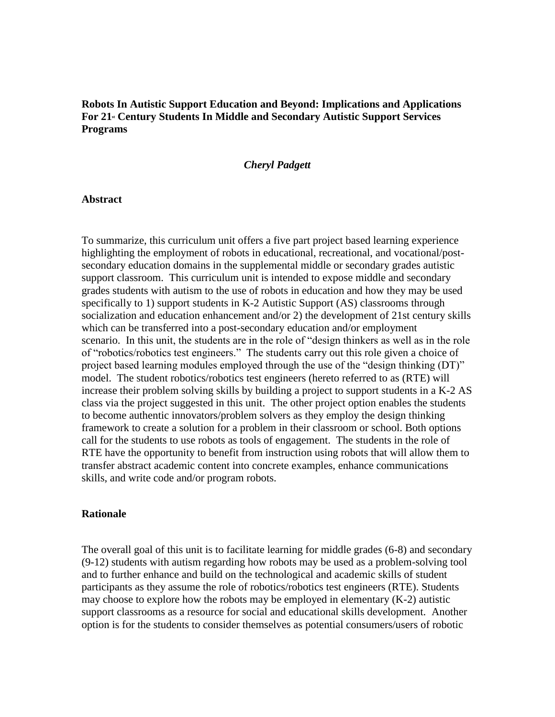## **Robots In Autistic Support Education and Beyond: Implications and Applications For 21st Century Students In Middle and Secondary Autistic Support Services Programs**

#### *Cheryl Padgett*

#### **Abstract**

To summarize, this curriculum unit offers a five part project based learning experience highlighting the employment of robots in educational, recreational, and vocational/postsecondary education domains in the supplemental middle or secondary grades autistic support classroom. This curriculum unit is intended to expose middle and secondary grades students with autism to the use of robots in education and how they may be used specifically to 1) support students in K-2 Autistic Support (AS) classrooms through socialization and education enhancement and/or 2) the development of 21st century skills which can be transferred into a post-secondary education and/or employment scenario. In this unit, the students are in the role of "design thinkers as well as in the role of "robotics/robotics test engineers." The students carry out this role given a choice of project based learning modules employed through the use of the "design thinking (DT)" model. The student robotics/robotics test engineers (hereto referred to as (RTE) will increase their problem solving skills by building a project to support students in a K-2 AS class via the project suggested in this unit. The other project option enables the students to become authentic innovators/problem solvers as they employ the design thinking framework to create a solution for a problem in their classroom or school. Both options call for the students to use robots as tools of engagement. The students in the role of RTE have the opportunity to benefit from instruction using robots that will allow them to transfer abstract academic content into concrete examples, enhance communications skills, and write code and/or program robots.

#### **Rationale**

The overall goal of this unit is to facilitate learning for middle grades (6-8) and secondary (9-12) students with autism regarding how robots may be used as a problem-solving tool and to further enhance and build on the technological and academic skills of student participants as they assume the role of robotics/robotics test engineers (RTE). Students may choose to explore how the robots may be employed in elementary (K-2) autistic support classrooms as a resource for social and educational skills development. Another option is for the students to consider themselves as potential consumers/users of robotic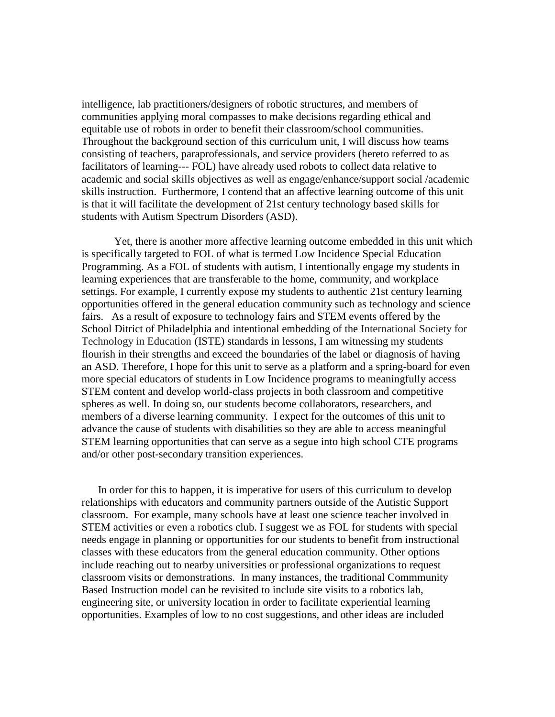intelligence, lab practitioners/designers of robotic structures, and members of communities applying moral compasses to make decisions regarding ethical and equitable use of robots in order to benefit their classroom/school communities. Throughout the background section of this curriculum unit, I will discuss how teams consisting of teachers, paraprofessionals, and service providers (hereto referred to as facilitators of learning--- FOL) have already used robots to collect data relative to academic and social skills objectives as well as engage/enhance/support social /academic skills instruction. Furthermore, I contend that an affective learning outcome of this unit is that it will facilitate the development of 21st century technology based skills for students with Autism Spectrum Disorders (ASD).

Yet, there is another more affective learning outcome embedded in this unit which is specifically targeted to FOL of what is termed Low Incidence Special Education Programming. As a FOL of students with autism, I intentionally engage my students in learning experiences that are transferable to the home, community, and workplace settings. For example, I currently expose my students to authentic 21st century learning opportunities offered in the general education community such as technology and science fairs. As a result of exposure to technology fairs and STEM events offered by the School Ditrict of Philadelphia and intentional embedding of the International Society for Technology in Education (ISTE) standards in lessons, I am witnessing my students flourish in their strengths and exceed the boundaries of the label or diagnosis of having an ASD. Therefore, I hope for this unit to serve as a platform and a spring-board for even more special educators of students in Low Incidence programs to meaningfully access STEM content and develop world-class projects in both classroom and competitive spheres as well. In doing so, our students become collaborators, researchers, and members of a diverse learning community. I expect for the outcomes of this unit to advance the cause of students with disabilities so they are able to access meaningful STEM learning opportunities that can serve as a segue into high school CTE programs and/or other post-secondary transition experiences.

 In order for this to happen, it is imperative for users of this curriculum to develop relationships with educators and community partners outside of the Autistic Support classroom. For example, many schools have at least one science teacher involved in STEM activities or even a robotics club. I suggest we as FOL for students with special needs engage in planning or opportunities for our students to benefit from instructional classes with these educators from the general education community. Other options include reaching out to nearby universities or professional organizations to request classroom visits or demonstrations. In many instances, the traditional Commmunity Based Instruction model can be revisited to include site visits to a robotics lab, engineering site, or university location in order to facilitate experiential learning opportunities. Examples of low to no cost suggestions, and other ideas are included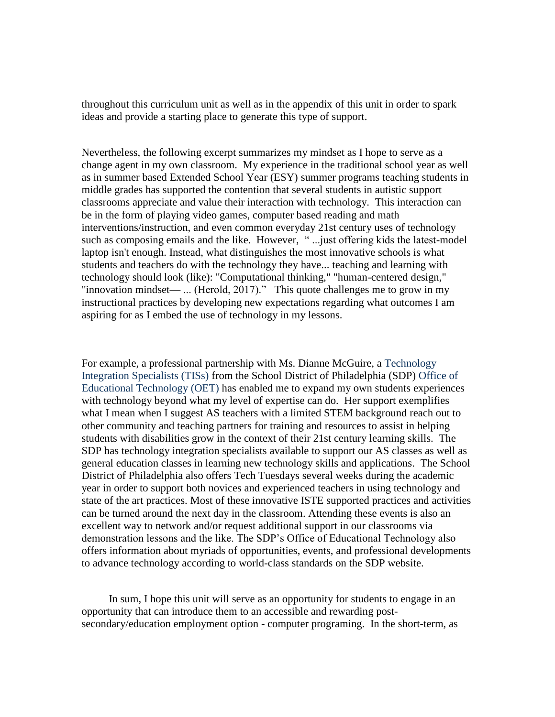throughout this curriculum unit as well as in the appendix of this unit in order to spark ideas and provide a starting place to generate this type of support.

Nevertheless, the following excerpt summarizes my mindset as I hope to serve as a change agent in my own classroom. My experience in the traditional school year as well as in summer based Extended School Year (ESY) summer programs teaching students in middle grades has supported the contention that several students in autistic support classrooms appreciate and value their interaction with technology. This interaction can be in the form of playing video games, computer based reading and math interventions/instruction, and even common everyday 21st century uses of technology such as composing emails and the like. However, " ...just offering kids the latest-model laptop isn't enough. Instead, what distinguishes the most innovative schools is what students and teachers do with the technology they have... teaching and learning with technology should look (like): "Computational thinking," "human-centered design," "innovation mindset— ... (Herold, 2017)." This quote challenges me to grow in my instructional practices by developing new expectations regarding what outcomes I am aspiring for as I embed the use of technology in my lessons.

For example, a professional partnership with Ms. Dianne McGuire, a Technology Integration Specialists (TISs) from the School District of Philadelphia (SDP) Office of Educational Technology (OET) has enabled me to expand my own students experiences with technology beyond what my level of expertise can do. Her support exemplifies what I mean when I suggest AS teachers with a limited STEM background reach out to other community and teaching partners for training and resources to assist in helping students with disabilities grow in the context of their 21st century learning skills. The SDP has technology integration specialists available to support our AS classes as well as general education classes in learning new technology skills and applications. The School District of Philadelphia also offers Tech Tuesdays several weeks during the academic year in order to support both novices and experienced teachers in using technology and state of the art practices. Most of these innovative ISTE supported practices and activities can be turned around the next day in the classroom. Attending these events is also an excellent way to network and/or request additional support in our classrooms via demonstration lessons and the like. The SDP's Office of Educational Technology also offers information about myriads of opportunities, events, and professional developments to advance technology according to world-class standards on the SDP website.

 In sum, I hope this unit will serve as an opportunity for students to engage in an opportunity that can introduce them to an accessible and rewarding postsecondary/education employment option - computer programing. In the short-term, as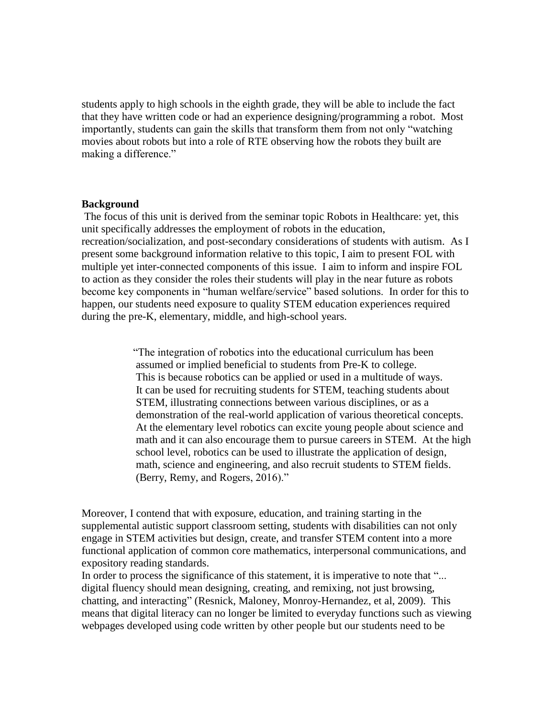students apply to high schools in the eighth grade, they will be able to include the fact that they have written code or had an experience designing/programming a robot. Most importantly, students can gain the skills that transform them from not only "watching movies about robots but into a role of RTE observing how the robots they built are making a difference."

#### **Background**

The focus of this unit is derived from the seminar topic Robots in Healthcare: yet, this unit specifically addresses the employment of robots in the education, recreation/socialization, and post-secondary considerations of students with autism. As I present some background information relative to this topic, I aim to present FOL with multiple yet inter-connected components of this issue. I aim to inform and inspire FOL to action as they consider the roles their students will play in the near future as robots become key components in "human welfare/service" based solutions. In order for this to happen, our students need exposure to quality STEM education experiences required during the pre-K, elementary, middle, and high-school years.

> "The integration of robotics into the educational curriculum has been assumed or implied beneficial to students from Pre-K to college. This is because robotics can be applied or used in a multitude of ways. It can be used for recruiting students for STEM, teaching students about STEM, illustrating connections between various disciplines, or as a demonstration of the real-world application of various theoretical concepts. At the elementary level robotics can excite young people about science and math and it can also encourage them to pursue careers in STEM. At the high school level, robotics can be used to illustrate the application of design, math, science and engineering, and also recruit students to STEM fields. (Berry, Remy, and Rogers, 2016)."

Moreover, I contend that with exposure, education, and training starting in the supplemental autistic support classroom setting, students with disabilities can not only engage in STEM activities but design, create, and transfer STEM content into a more functional application of common core mathematics, interpersonal communications, and expository reading standards.

In order to process the significance of this statement, it is imperative to note that "... digital fluency should mean designing, creating, and remixing, not just browsing, chatting, and interacting" (Resnick, Maloney, Monroy-Hernandez, et al, 2009). This means that digital literacy can no longer be limited to everyday functions such as viewing webpages developed using code written by other people but our students need to be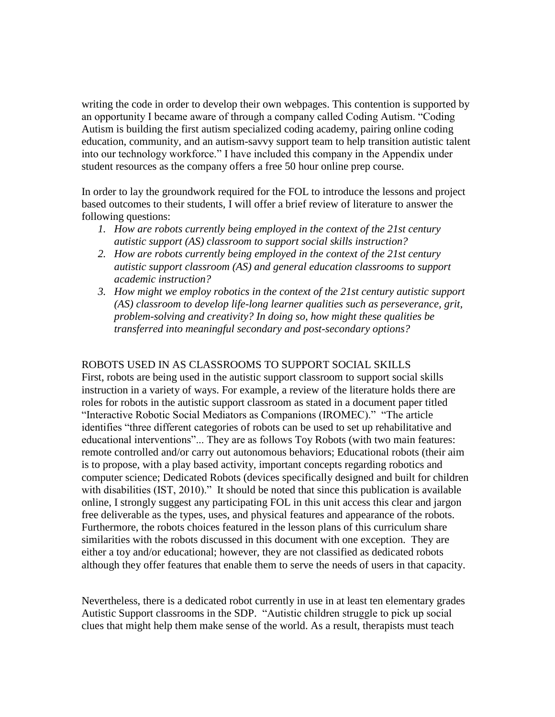writing the code in order to develop their own webpages. This contention is supported by an opportunity I became aware of through a company called Coding Autism. "Coding Autism is building the first autism specialized coding academy, pairing online coding education, community, and an autism-savvy support team to help transition autistic talent into our technology workforce." I have included this company in the Appendix under student resources as the company offers a free 50 hour online prep course.

In order to lay the groundwork required for the FOL to introduce the lessons and project based outcomes to their students, I will offer a brief review of literature to answer the following questions:

- *1. How are robots currently being employed in the context of the 21st century autistic support (AS) classroom to support social skills instruction?*
- *2. How are robots currently being employed in the context of the 21st century autistic support classroom (AS) and general education classrooms to support academic instruction?*
- *3. How might we employ robotics in the context of the 21st century autistic support (AS) classroom to develop life-long learner qualities such as perseverance, grit, problem-solving and creativity? In doing so, how might these qualities be transferred into meaningful secondary and post-secondary options?*

#### ROBOTS USED IN AS CLASSROOMS TO SUPPORT SOCIAL SKILLS

First, robots are being used in the autistic support classroom to support social skills instruction in a variety of ways. For example, a review of the literature holds there are roles for robots in the autistic support classroom as stated in a document paper titled "Interactive Robotic Social Mediators as Companions (IROMEC)." "The article identifies "three different categories of robots can be used to set up rehabilitative and educational interventions"... They are as follows Toy Robots (with two main features: remote controlled and/or carry out autonomous behaviors; Educational robots (their aim is to propose, with a play based activity, important concepts regarding robotics and computer science; Dedicated Robots (devices specifically designed and built for children with disabilities (IST, 2010)." It should be noted that since this publication is available online, I strongly suggest any participating FOL in this unit access this clear and jargon free deliverable as the types, uses, and physical features and appearance of the robots. Furthermore, the robots choices featured in the lesson plans of this curriculum share similarities with the robots discussed in this document with one exception. They are either a toy and/or educational; however, they are not classified as dedicated robots although they offer features that enable them to serve the needs of users in that capacity.

Nevertheless, there is a dedicated robot currently in use in at least ten elementary grades Autistic Support classrooms in the SDP. "Autistic children struggle to pick up social clues that might help them make sense of the world. As a result, therapists must teach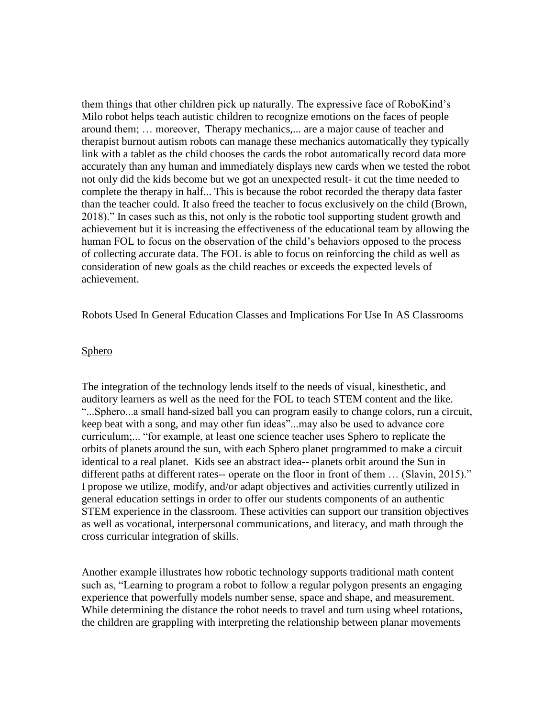them things that other children pick up naturally. The expressive face of RoboKind's Milo robot helps teach autistic children to recognize emotions on the faces of people around them; … moreover, Therapy mechanics,... are a major cause of teacher and therapist burnout autism robots can manage these mechanics automatically they typically link with a tablet as the child chooses the cards the robot automatically record data more accurately than any human and immediately displays new cards when we tested the robot not only did the kids become but we got an unexpected result- it cut the time needed to complete the therapy in half... This is because the robot recorded the therapy data faster than the teacher could. It also freed the teacher to focus exclusively on the child (Brown, 2018)." In cases such as this, not only is the robotic tool supporting student growth and achievement but it is increasing the effectiveness of the educational team by allowing the human FOL to focus on the observation of the child's behaviors opposed to the process of collecting accurate data. The FOL is able to focus on reinforcing the child as well as consideration of new goals as the child reaches or exceeds the expected levels of achievement.

Robots Used In General Education Classes and Implications For Use In AS Classrooms

#### **Sphero**

The integration of the technology lends itself to the needs of visual, kinesthetic, and auditory learners as well as the need for the FOL to teach STEM content and the like. "...Sphero...a small hand-sized ball you can program easily to change colors, run a circuit, keep beat with a song, and may other fun ideas"...may also be used to advance core curriculum;... "for example, at least one science teacher uses Sphero to replicate the orbits of planets around the sun, with each Sphero planet programmed to make a circuit identical to a real planet. Kids see an abstract idea-- planets orbit around the Sun in different paths at different rates-- operate on the floor in front of them ... (Slavin, 2015)." I propose we utilize, modify, and/or adapt objectives and activities currently utilized in general education settings in order to offer our students components of an authentic STEM experience in the classroom. These activities can support our transition objectives as well as vocational, interpersonal communications, and literacy, and math through the cross curricular integration of skills.

Another example illustrates how robotic technology supports traditional math content such as, "Learning to program a robot to follow a regular polygon presents an engaging experience that powerfully models number sense, space and shape, and measurement. While determining the distance the robot needs to travel and turn using wheel rotations, the children are grappling with interpreting the relationship between planar movements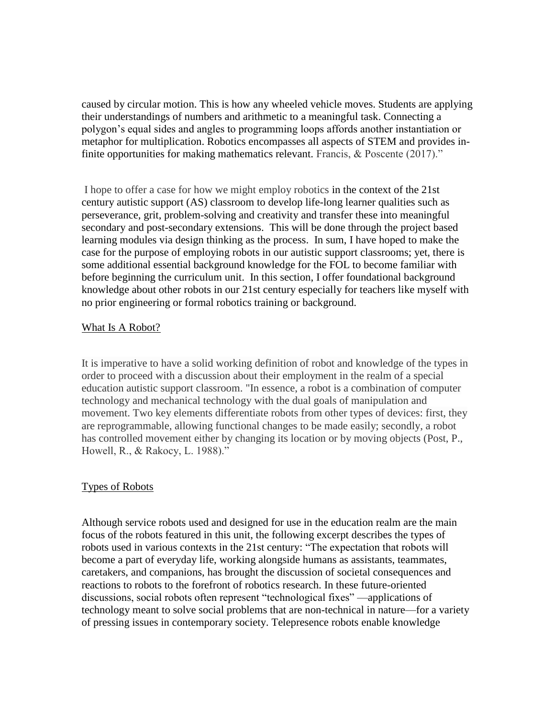caused by circular motion. This is how any wheeled vehicle moves. Students are applying their understandings of numbers and arithmetic to a meaningful task. Connecting a polygon's equal sides and angles to programming loops affords another instantiation or metaphor for multiplication. Robotics encompasses all aspects of STEM and provides infinite opportunities for making mathematics relevant. Francis, & Poscente (2017)."

I hope to offer a case for how we might employ robotics in the context of the 21st century autistic support (AS) classroom to develop life-long learner qualities such as perseverance, grit, problem-solving and creativity and transfer these into meaningful secondary and post-secondary extensions. This will be done through the project based learning modules via design thinking as the process. In sum, I have hoped to make the case for the purpose of employing robots in our autistic support classrooms; yet, there is some additional essential background knowledge for the FOL to become familiar with before beginning the curriculum unit. In this section, I offer foundational background knowledge about other robots in our 21st century especially for teachers like myself with no prior engineering or formal robotics training or background.

#### What Is A Robot?

It is imperative to have a solid working definition of robot and knowledge of the types in order to proceed with a discussion about their employment in the realm of a special education autistic support classroom. "In essence, a robot is a combination of computer technology and mechanical technology with the dual goals of manipulation and movement. Two key elements differentiate robots from other types of devices: first, they are reprogrammable, allowing functional changes to be made easily; secondly, a robot has controlled movement either by changing its location or by moving objects (Post, P., Howell, R., & Rakocy, L. 1988)."

#### Types of Robots

Although service robots used and designed for use in the education realm are the main focus of the robots featured in this unit, the following excerpt describes the types of robots used in various contexts in the 21st century: "The expectation that robots will become a part of everyday life, working alongside humans as assistants, teammates, caretakers, and companions, has brought the discussion of societal consequences and reactions to robots to the forefront of robotics research. In these future-oriented discussions, social robots often represent "technological fixes" —applications of technology meant to solve social problems that are non-technical in nature—for a variety of pressing issues in contemporary society. Telepresence robots enable knowledge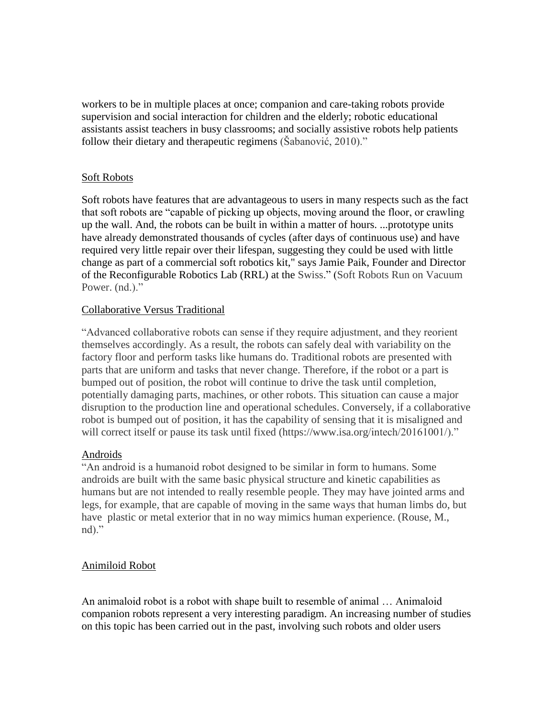workers to be in multiple places at once; companion and care-taking robots provide supervision and social interaction for children and the elderly; robotic educational assistants assist teachers in busy classrooms; and socially assistive robots help patients follow their dietary and therapeutic regimens (Šabanović, 2010)."

### Soft Robots

Soft robots have features that are advantageous to users in many respects such as the fact that soft robots are "capable of picking up objects, moving around the floor, or crawling up the wall. And, the robots can be built in within a matter of hours. ...prototype units have already demonstrated thousands of cycles (after days of continuous use) and have required very little repair over their lifespan, suggesting they could be used with little change as part of a commercial soft robotics kit," says Jamie Paik, Founder and Director of the Reconfigurable Robotics Lab (RRL) at the Swiss." (Soft Robots Run on Vacuum Power. (nd.)."

### Collaborative Versus Traditional

"Advanced collaborative robots can sense if they require adjustment, and they reorient themselves accordingly. As a result, the robots can safely deal with variability on the factory floor and perform tasks like humans do. Traditional robots are presented with parts that are uniform and tasks that never change. Therefore, if the robot or a part is bumped out of position, the robot will continue to drive the task until completion, potentially damaging parts, machines, or other robots. This situation can cause a major disruption to the production line and operational schedules. Conversely, if a collaborative robot is bumped out of position, it has the capability of sensing that it is misaligned and will correct itself or pause its task until fixed (https://www.isa.org/intech/20161001/)."

# Androids

"An android is a humanoid robot designed to be similar in form to humans. Some androids are built with the same basic physical structure and kinetic capabilities as humans but are not intended to really resemble people. They may have jointed arms and legs, for example, that are capable of moving in the same ways that human limbs do, but have plastic or metal exterior that in no way mimics human experience. (Rouse, M., nd)."

# Animiloid Robot

An animaloid robot is a robot with shape built to resemble of animal … Animaloid companion robots represent a very interesting paradigm. An increasing number of studies on this topic has been carried out in the past, involving such robots and older users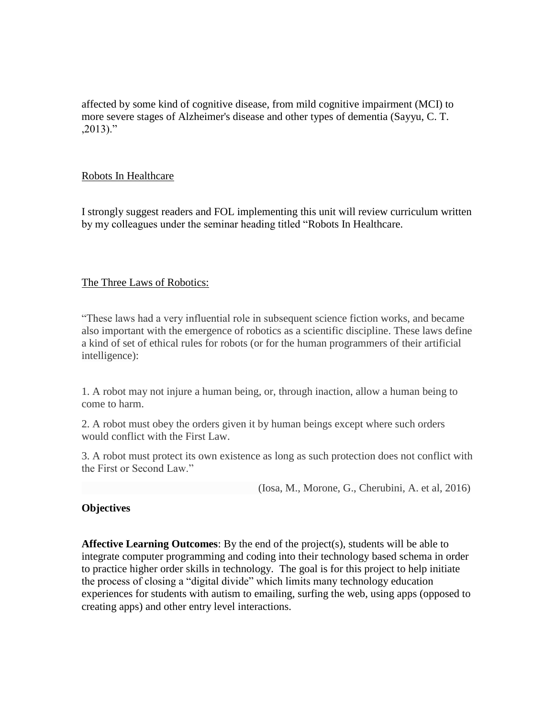affected by some kind of cognitive disease, from mild cognitive impairment (MCI) to more severe stages of Alzheimer's disease and other types of dementia (Sayyu, C. T. ,2013)."

#### Robots In Healthcare

I strongly suggest readers and FOL implementing this unit will review curriculum written by my colleagues under the seminar heading titled "Robots In Healthcare.

### The Three Laws of Robotics:

"These laws had a very influential role in subsequent science fiction works, and became also important with the emergence of robotics as a scientific discipline. These laws define a kind of set of ethical rules for robots (or for the human programmers of their artificial intelligence):

1. A robot may not injure a human being, or, through inaction, allow a human being to come to harm.

2. A robot must obey the orders given it by human beings except where such orders would conflict with the First Law.

3. A robot must protect its own existence as long as such protection does not conflict with the First or Second Law."

(Iosa, M., Morone, G., Cherubini, A. et al, 2016)

# **Objectives**

**Affective Learning Outcomes**: By the end of the project(s), students will be able to integrate computer programming and coding into their technology based schema in order to practice higher order skills in technology. The goal is for this project to help initiate the process of closing a "digital divide" which limits many technology education experiences for students with autism to emailing, surfing the web, using apps (opposed to creating apps) and other entry level interactions.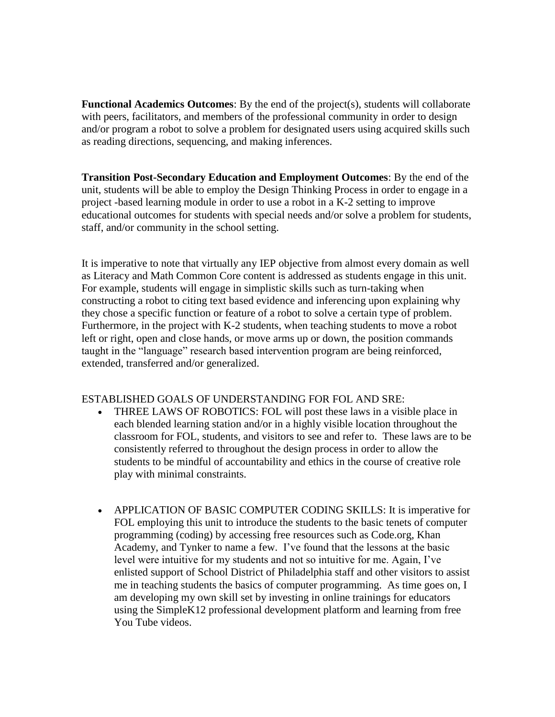**Functional Academics Outcomes**: By the end of the project(s), students will collaborate with peers, facilitators, and members of the professional community in order to design and/or program a robot to solve a problem for designated users using acquired skills such as reading directions, sequencing, and making inferences.

**Transition Post-Secondary Education and Employment Outcomes**: By the end of the unit, students will be able to employ the Design Thinking Process in order to engage in a project -based learning module in order to use a robot in a K-2 setting to improve educational outcomes for students with special needs and/or solve a problem for students, staff, and/or community in the school setting.

It is imperative to note that virtually any IEP objective from almost every domain as well as Literacy and Math Common Core content is addressed as students engage in this unit. For example, students will engage in simplistic skills such as turn-taking when constructing a robot to citing text based evidence and inferencing upon explaining why they chose a specific function or feature of a robot to solve a certain type of problem. Furthermore, in the project with K-2 students, when teaching students to move a robot left or right, open and close hands, or move arms up or down, the position commands taught in the "language" research based intervention program are being reinforced, extended, transferred and/or generalized.

#### ESTABLISHED GOALS OF UNDERSTANDING FOR FOL AND SRE:

- THREE LAWS OF ROBOTICS: FOL will post these laws in a visible place in each blended learning station and/or in a highly visible location throughout the classroom for FOL, students, and visitors to see and refer to. These laws are to be consistently referred to throughout the design process in order to allow the students to be mindful of accountability and ethics in the course of creative role play with minimal constraints.
- APPLICATION OF BASIC COMPUTER CODING SKILLS: It is imperative for FOL employing this unit to introduce the students to the basic tenets of computer programming (coding) by accessing free resources such as Code.org, Khan Academy, and Tynker to name a few. I've found that the lessons at the basic level were intuitive for my students and not so intuitive for me. Again, I've enlisted support of School District of Philadelphia staff and other visitors to assist me in teaching students the basics of computer programming. As time goes on, I am developing my own skill set by investing in online trainings for educators using the SimpleK12 professional development platform and learning from free You Tube videos.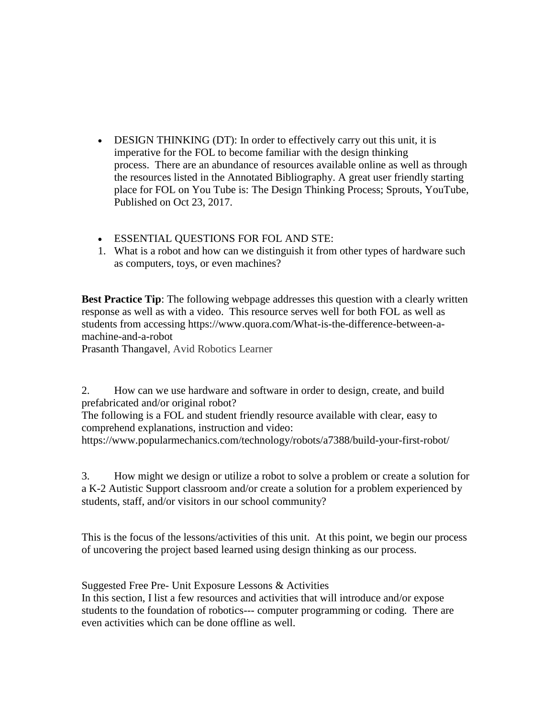- DESIGN THINKING (DT): In order to effectively carry out this unit, it is imperative for the FOL to become familiar with the design thinking process. There are an abundance of resources available online as well as through the resources listed in the Annotated Bibliography. A great user friendly starting place for FOL on You Tube is: The Design Thinking Process; Sprouts, YouTube, Published on Oct 23, 2017.
- ESSENTIAL QUESTIONS FOR FOL AND STE:
- 1. What is a robot and how can we distinguish it from other types of hardware such as computers, toys, or even machines?

**Best Practice Tip**: The following webpage addresses this question with a clearly written response as well as with a video. This resource serves well for both FOL as well as students from accessing https://www.quora.com/What-is-the-difference-between-amachine-and-a-robot

Prasanth Thangavel, Avid Robotics Learner

2. How can we use hardware and software in order to design, create, and build prefabricated and/or original robot?

The following is a FOL and student friendly resource available with clear, easy to comprehend explanations, instruction and video:

https://www.popularmechanics.com/technology/robots/a7388/build-your-first-robot/

3. How might we design or utilize a robot to solve a problem or create a solution for a K-2 Autistic Support classroom and/or create a solution for a problem experienced by students, staff, and/or visitors in our school community?

This is the focus of the lessons/activities of this unit. At this point, we begin our process of uncovering the project based learned using design thinking as our process.

Suggested Free Pre- Unit Exposure Lessons & Activities

In this section, I list a few resources and activities that will introduce and/or expose students to the foundation of robotics--- computer programming or coding. There are even activities which can be done offline as well.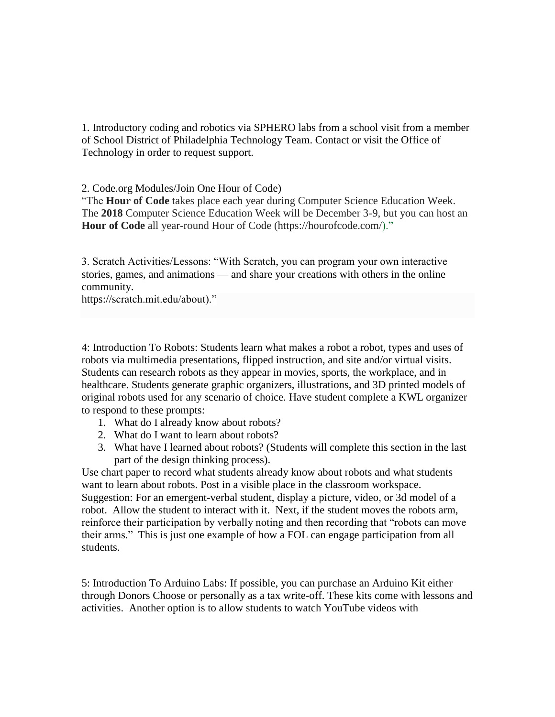1. Introductory coding and robotics via SPHERO labs from a school visit from a member of School District of Philadelphia Technology Team. Contact or visit the Office of Technology in order to request support.

2. Code.org Modules/Join One Hour of Code)

"The **Hour of Code** takes place each year during Computer Science Education Week. The **2018** Computer Science Education Week will be December 3-9, but you can host an Hour of Code all year-round Hour of Code (https://hourofcode.com/)."

3. Scratch Activities/Lessons: "With Scratch, you can program your own interactive stories, games, and animations — and share your creations with others in the online community.

https://scratch.mit.edu/about)."

4: Introduction To Robots: Students learn what makes a robot a robot, types and uses of robots via multimedia presentations, flipped instruction, and site and/or virtual visits. Students can research robots as they appear in movies, sports, the workplace, and in healthcare. Students generate graphic organizers, illustrations, and 3D printed models of original robots used for any scenario of choice. Have student complete a KWL organizer to respond to these prompts:

- 1. What do I already know about robots?
- 2. What do I want to learn about robots?
- 3. What have I learned about robots? (Students will complete this section in the last part of the design thinking process).

Use chart paper to record what students already know about robots and what students want to learn about robots. Post in a visible place in the classroom workspace. Suggestion: For an emergent-verbal student, display a picture, video, or 3d model of a robot. Allow the student to interact with it. Next, if the student moves the robots arm, reinforce their participation by verbally noting and then recording that "robots can move their arms." This is just one example of how a FOL can engage participation from all students.

5: Introduction To Arduino Labs: If possible, you can purchase an Arduino Kit either through Donors Choose or personally as a tax write-off. These kits come with lessons and activities. Another option is to allow students to watch YouTube videos with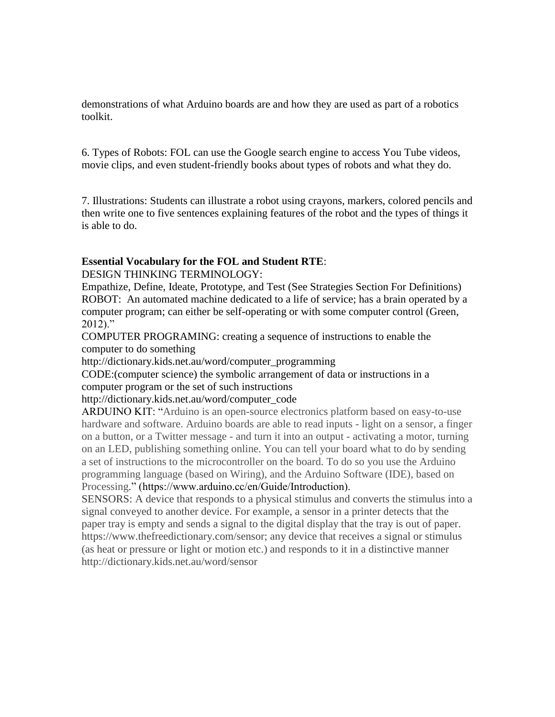demonstrations of what Arduino boards are and how they are used as part of a robotics toolkit.

6. Types of Robots: FOL can use the Google search engine to access You Tube videos, movie clips, and even student-friendly books about types of robots and what they do.

7. Illustrations: Students can illustrate a robot using crayons, markers, colored pencils and then write one to five sentences explaining features of the robot and the types of things it is able to do.

### **Essential Vocabulary for the FOL and Student RTE**:

DESIGN THINKING TERMINOLOGY:

Empathize, Define, Ideate, Prototype, and Test (See Strategies Section For Definitions) ROBOT: An automated machine dedicated to a life of service; has a brain operated by a computer program; can either be self-operating or with some computer control (Green, 2012)."

COMPUTER PROGRAMING: creating a sequence of instructions to enable the computer to do something

http://dictionary.kids.net.au/word/computer\_programming

CODE:(computer science) the symbolic arrangement of data or instructions in a computer program or the set of such instructions

#### http://dictionary.kids.net.au/word/computer\_code

ARDUINO KIT: "Arduino is an open-source electronics platform based on easy-to-use hardware and software. Arduino boards are able to read inputs - light on a sensor, a finger on a button, or a Twitter message - and turn it into an output - activating a motor, turning on an LED, publishing something online. You can tell your board what to do by sending a set of instructions to the microcontroller on the board. To do so you use the Arduino programming language (based on Wiring), and the Arduino Software (IDE), based on Processing." (https://www.arduino.cc/en/Guide/Introduction).

SENSORS: A device that responds to a physical stimulus and converts the stimulus into a signal conveyed to another device. For example, a sensor in a printer detects that the paper tray is empty and sends a signal to the digital display that the tray is out of paper. https://www.thefreedictionary.com/sensor; any device that receives a signal or stimulus (as heat or pressure or light or motion etc.) and responds to it in a distinctive manner http://dictionary.kids.net.au/word/sensor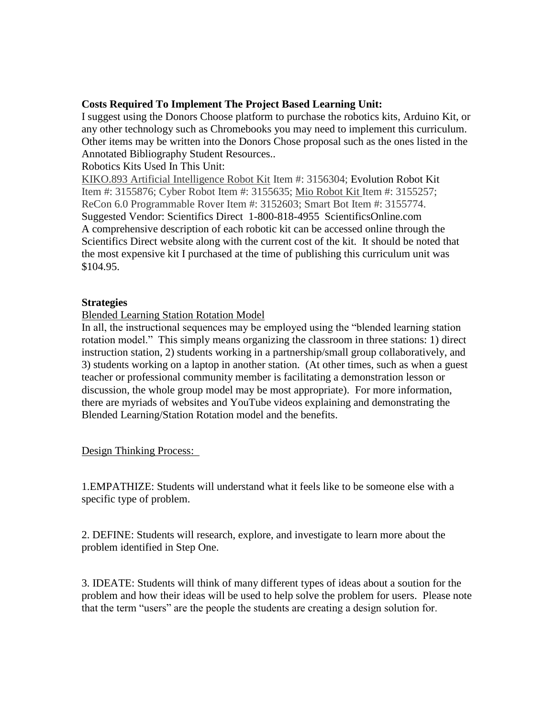## **Costs Required To Implement The Project Based Learning Unit:**

I suggest using the Donors Choose platform to purchase the robotics kits, Arduino Kit, or any other technology such as Chromebooks you may need to implement this curriculum. Other items may be written into the Donors Chose proposal such as the ones listed in the Annotated Bibliography Student Resources..

## Robotics Kits Used In This Unit:

[KIKO.893 Artificial Intelligence Robot Kit](https://www.scientificsonline.com/product/sku/3156304) Item #: 3156304; Evolution Robot Kit Item #: 3155876; Cyber Robot Item #: 3155635; [Mio Robot Kit I](https://www.scientificsonline.com/product/sku/3155257)tem #: 3155257; ReCon 6.0 Programmable Rover Item #: 3152603; Smart Bot Item #: 3155774. Suggested Vendor: Scientifics Direct 1-800-818-4955 ScientificsOnline.com A comprehensive description of each robotic kit can be accessed online through the Scientifics Direct website along with the current cost of the kit. It should be noted that the most expensive kit I purchased at the time of publishing this curriculum unit was \$104.95.

#### **Strategies**

### Blended Learning Station Rotation Model

In all, the instructional sequences may be employed using the "blended learning station rotation model." This simply means organizing the classroom in three stations: 1) direct instruction station, 2) students working in a partnership/small group collaboratively, and 3) students working on a laptop in another station. (At other times, such as when a guest teacher or professional community member is facilitating a demonstration lesson or discussion, the whole group model may be most appropriate). For more information, there are myriads of websites and YouTube videos explaining and demonstrating the Blended Learning/Station Rotation model and the benefits.

#### Design Thinking Process:

1.EMPATHIZE: Students will understand what it feels like to be someone else with a specific type of problem.

2. DEFINE: Students will research, explore, and investigate to learn more about the problem identified in Step One.

3. IDEATE: Students will think of many different types of ideas about a soution for the problem and how their ideas will be used to help solve the problem for users. Please note that the term "users" are the people the students are creating a design solution for.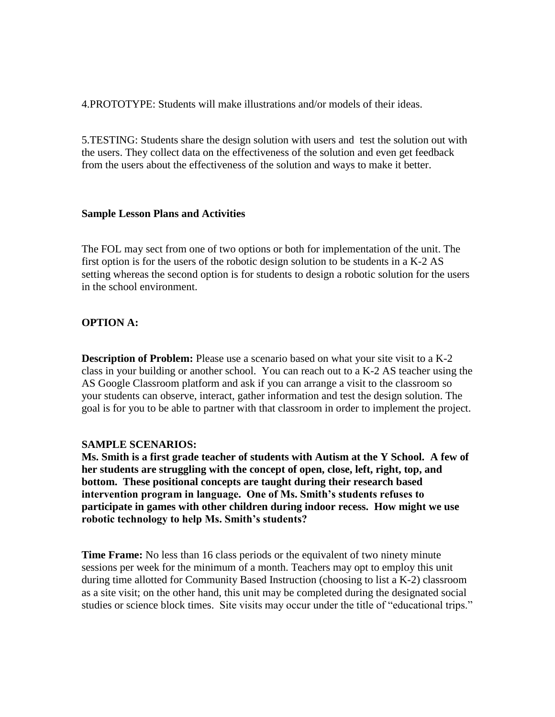4.PROTOTYPE: Students will make illustrations and/or models of their ideas.

5.TESTING: Students share the design solution with users and test the solution out with the users. They collect data on the effectiveness of the solution and even get feedback from the users about the effectiveness of the solution and ways to make it better.

#### **Sample Lesson Plans and Activities**

The FOL may sect from one of two options or both for implementation of the unit. The first option is for the users of the robotic design solution to be students in a K-2 AS setting whereas the second option is for students to design a robotic solution for the users in the school environment.

#### **OPTION A:**

**Description of Problem:** Please use a scenario based on what your site visit to a K-2 class in your building or another school. You can reach out to a K-2 AS teacher using the AS Google Classroom platform and ask if you can arrange a visit to the classroom so your students can observe, interact, gather information and test the design solution. The goal is for you to be able to partner with that classroom in order to implement the project.

#### **SAMPLE SCENARIOS:**

**Ms. Smith is a first grade teacher of students with Autism at the Y School. A few of her students are struggling with the concept of open, close, left, right, top, and bottom. These positional concepts are taught during their research based intervention program in language. One of Ms. Smith's students refuses to participate in games with other children during indoor recess. How might we use robotic technology to help Ms. Smith's students?**

**Time Frame:** No less than 16 class periods or the equivalent of two ninety minute sessions per week for the minimum of a month. Teachers may opt to employ this unit during time allotted for Community Based Instruction (choosing to list a K-2) classroom as a site visit; on the other hand, this unit may be completed during the designated social studies or science block times. Site visits may occur under the title of "educational trips."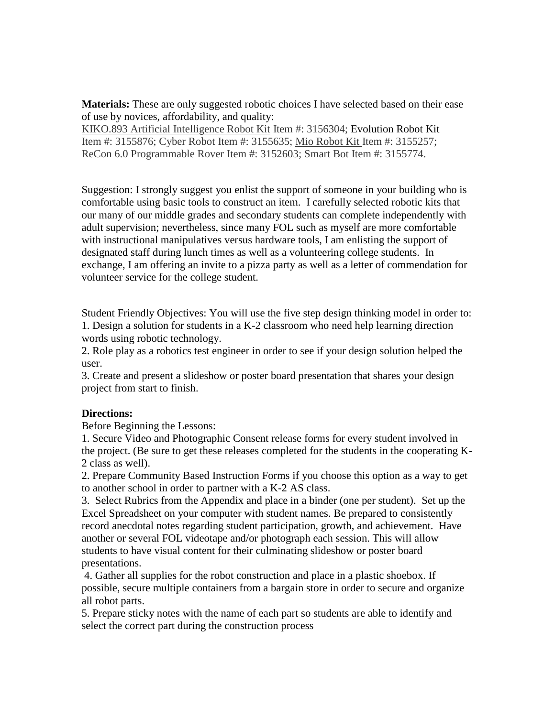**Materials:** These are only suggested robotic choices I have selected based on their ease of use by novices, affordability, and quality:

[KIKO.893 Artificial Intelligence Robot Kit](https://www.scientificsonline.com/product/sku/3156304) Item #: 3156304; Evolution Robot Kit Item #: 3155876; Cyber Robot Item #: 3155635; [Mio Robot Kit I](https://www.scientificsonline.com/product/sku/3155257)tem #: 3155257; ReCon 6.0 Programmable Rover Item #: 3152603; Smart Bot Item #: 3155774.

Suggestion: I strongly suggest you enlist the support of someone in your building who is comfortable using basic tools to construct an item. I carefully selected robotic kits that our many of our middle grades and secondary students can complete independently with adult supervision; nevertheless, since many FOL such as myself are more comfortable with instructional manipulatives versus hardware tools, I am enlisting the support of designated staff during lunch times as well as a volunteering college students. In exchange, I am offering an invite to a pizza party as well as a letter of commendation for volunteer service for the college student.

Student Friendly Objectives: You will use the five step design thinking model in order to: 1. Design a solution for students in a K-2 classroom who need help learning direction words using robotic technology.

2. Role play as a robotics test engineer in order to see if your design solution helped the user.

3. Create and present a slideshow or poster board presentation that shares your design project from start to finish.

#### **Directions:**

Before Beginning the Lessons:

1. Secure Video and Photographic Consent release forms for every student involved in the project. (Be sure to get these releases completed for the students in the cooperating K-2 class as well).

2. Prepare Community Based Instruction Forms if you choose this option as a way to get to another school in order to partner with a K-2 AS class.

3. Select Rubrics from the Appendix and place in a binder (one per student). Set up the Excel Spreadsheet on your computer with student names. Be prepared to consistently record anecdotal notes regarding student participation, growth, and achievement. Have another or several FOL videotape and/or photograph each session. This will allow students to have visual content for their culminating slideshow or poster board presentations.

4. Gather all supplies for the robot construction and place in a plastic shoebox. If possible, secure multiple containers from a bargain store in order to secure and organize all robot parts.

5. Prepare sticky notes with the name of each part so students are able to identify and select the correct part during the construction process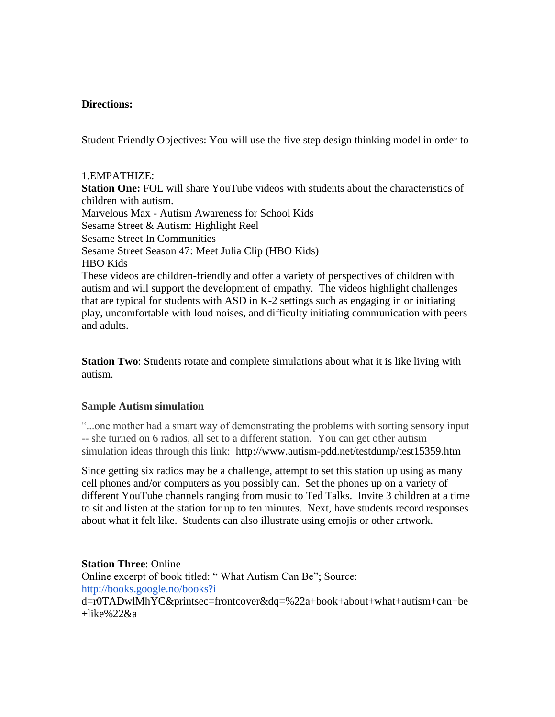#### **Directions:**

Student Friendly Objectives: You will use the five step design thinking model in order to

#### 1.EMPATHIZE:

**Station One:** FOL will share YouTube videos with students about the characteristics of children with autism. Marvelous Max - Autism Awareness for School Kids Sesame Street & Autism: Highlight Reel Sesame Street In Communities Sesame Street Season 47: Meet Julia Clip (HBO Kids) HBO Kids These videos are children-friendly and offer a variety of perspectives of children with autism and will support the development of empathy. The videos highlight challenges that are typical for students with ASD in K-2 settings such as engaging in or initiating play, uncomfortable with loud noises, and difficulty initiating communication with peers and adults.

**Station Two**: Students rotate and complete simulations about what it is like living with autism.

#### **Sample Autism simulation**

"...one mother had a smart way of demonstrating the problems with sorting sensory input -- she turned on 6 radios, all set to a different station. You can get other autism simulation ideas through this link: http://www.autism-pdd.net/testdump/test15359.htm

Since getting six radios may be a challenge, attempt to set this station up using as many cell phones and/or computers as you possibly can. Set the phones up on a variety of different YouTube channels ranging from music to Ted Talks. Invite 3 children at a time to sit and listen at the station for up to ten minutes. Next, have students record responses about what it felt like. Students can also illustrate using emojis or other artwork.

**Station Three**: Online Online excerpt of book titled: " What Autism Can Be"; Source: <http://books.google.no/books?i> d=r0TADwlMhYC&printsec=frontcover&dq=%22a+book+about+what+autism+can+be  $+$ like%22 $\&$ a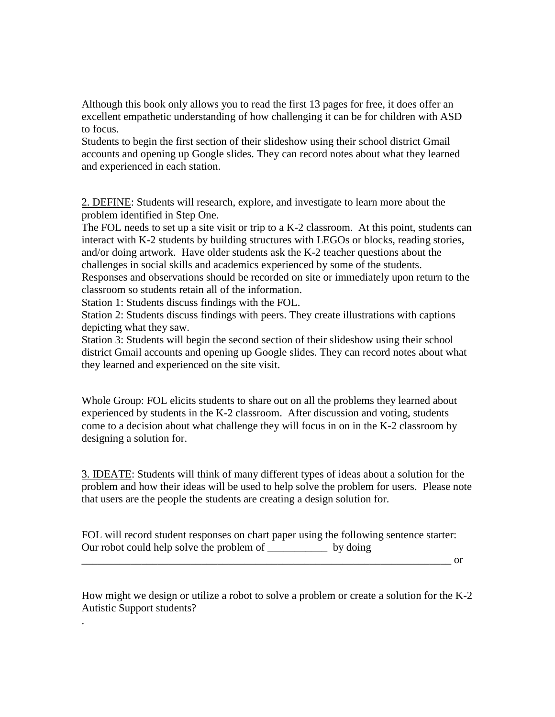Although this book only allows you to read the first 13 pages for free, it does offer an excellent empathetic understanding of how challenging it can be for children with ASD to focus.

Students to begin the first section of their slideshow using their school district Gmail accounts and opening up Google slides. They can record notes about what they learned and experienced in each station.

2. DEFINE: Students will research, explore, and investigate to learn more about the problem identified in Step One.

The FOL needs to set up a site visit or trip to a K-2 classroom. At this point, students can interact with K-2 students by building structures with LEGOs or blocks, reading stories, and/or doing artwork. Have older students ask the K-2 teacher questions about the challenges in social skills and academics experienced by some of the students.

Responses and observations should be recorded on site or immediately upon return to the classroom so students retain all of the information.

Station 1: Students discuss findings with the FOL.

.

Station 2: Students discuss findings with peers. They create illustrations with captions depicting what they saw.

Station 3: Students will begin the second section of their slideshow using their school district Gmail accounts and opening up Google slides. They can record notes about what they learned and experienced on the site visit.

Whole Group: FOL elicits students to share out on all the problems they learned about experienced by students in the K-2 classroom. After discussion and voting, students come to a decision about what challenge they will focus in on in the K-2 classroom by designing a solution for.

3. IDEATE: Students will think of many different types of ideas about a solution for the problem and how their ideas will be used to help solve the problem for users. Please note that users are the people the students are creating a design solution for.

FOL will record student responses on chart paper using the following sentence starter: Our robot could help solve the problem of \_\_\_\_\_\_\_\_\_\_\_ by doing

or

How might we design or utilize a robot to solve a problem or create a solution for the K-2 Autistic Support students?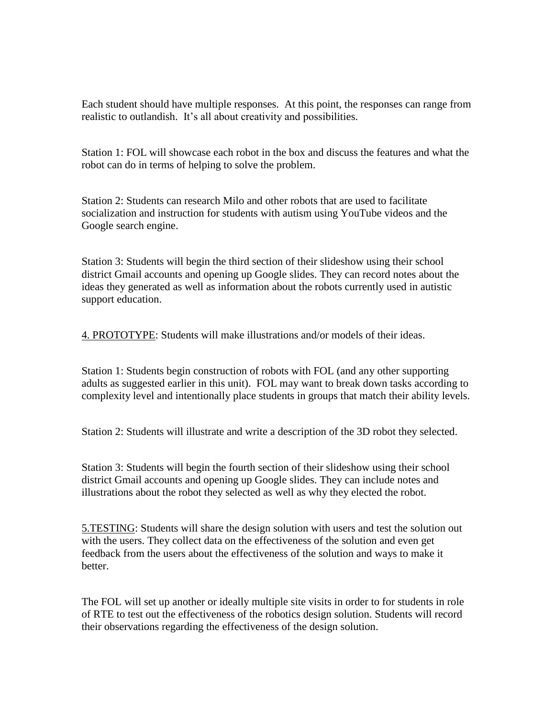Each student should have multiple responses. At this point, the responses can range from realistic to outlandish. It's all about creativity and possibilities.

Station 1: FOL will showcase each robot in the box and discuss the features and what the robot can do in terms of helping to solve the problem.

Station 2: Students can research Milo and other robots that are used to facilitate socialization and instruction for students with autism using YouTube videos and the Google search engine.

Station 3: Students will begin the third section of their slideshow using their school district Gmail accounts and opening up Google slides. They can record notes about the ideas they generated as well as information about the robots currently used in autistic support education.

4. PROTOTYPE: Students will make illustrations and/or models of their ideas.

Station 1: Students begin construction of robots with FOL (and any other supporting adults as suggested earlier in this unit). FOL may want to break down tasks according to complexity level and intentionally place students in groups that match their ability levels.

Station 2: Students will illustrate and write a description of the 3D robot they selected.

Station 3: Students will begin the fourth section of their slideshow using their school district Gmail accounts and opening up Google slides. They can include notes and illustrations about the robot they selected as well as why they elected the robot.

5.TESTING: Students will share the design solution with users and test the solution out with the users. They collect data on the effectiveness of the solution and even get feedback from the users about the effectiveness of the solution and ways to make it better.

The FOL will set up another or ideally multiple site visits in order to for students in role of RTE to test out the effectiveness of the robotics design solution. Students will record their observations regarding the effectiveness of the design solution.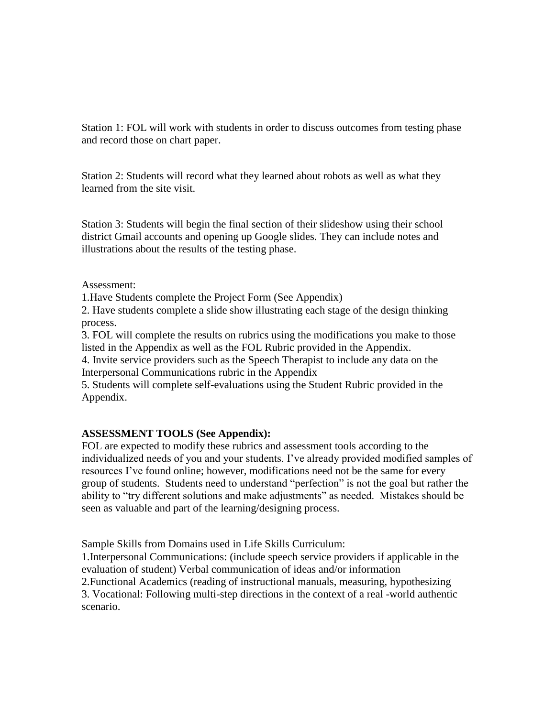Station 1: FOL will work with students in order to discuss outcomes from testing phase and record those on chart paper.

Station 2: Students will record what they learned about robots as well as what they learned from the site visit.

Station 3: Students will begin the final section of their slideshow using their school district Gmail accounts and opening up Google slides. They can include notes and illustrations about the results of the testing phase.

Assessment:

1.Have Students complete the Project Form (See Appendix)

2. Have students complete a slide show illustrating each stage of the design thinking process.

3. FOL will complete the results on rubrics using the modifications you make to those listed in the Appendix as well as the FOL Rubric provided in the Appendix.

4. Invite service providers such as the Speech Therapist to include any data on the Interpersonal Communications rubric in the Appendix

5. Students will complete self-evaluations using the Student Rubric provided in the Appendix.

# **ASSESSMENT TOOLS (See Appendix):**

FOL are expected to modify these rubrics and assessment tools according to the individualized needs of you and your students. I've already provided modified samples of resources I've found online; however, modifications need not be the same for every group of students. Students need to understand "perfection" is not the goal but rather the ability to "try different solutions and make adjustments" as needed. Mistakes should be seen as valuable and part of the learning/designing process.

Sample Skills from Domains used in Life Skills Curriculum:

1.Interpersonal Communications: (include speech service providers if applicable in the evaluation of student) Verbal communication of ideas and/or information

2.Functional Academics (reading of instructional manuals, measuring, hypothesizing 3. Vocational: Following multi-step directions in the context of a real -world authentic scenario.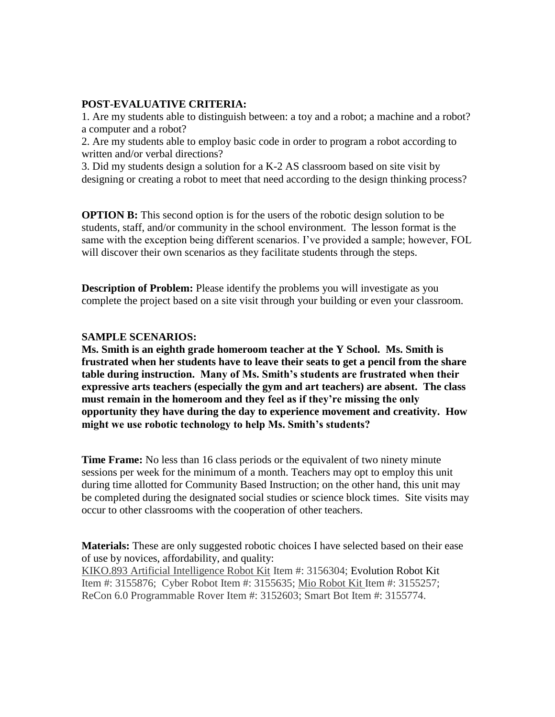### **POST-EVALUATIVE CRITERIA:**

1. Are my students able to distinguish between: a toy and a robot; a machine and a robot? a computer and a robot?

2. Are my students able to employ basic code in order to program a robot according to written and/or verbal directions?

3. Did my students design a solution for a K-2 AS classroom based on site visit by designing or creating a robot to meet that need according to the design thinking process?

**OPTION B:** This second option is for the users of the robotic design solution to be students, staff, and/or community in the school environment. The lesson format is the same with the exception being different scenarios. I've provided a sample; however, FOL will discover their own scenarios as they facilitate students through the steps.

**Description of Problem:** Please identify the problems you will investigate as you complete the project based on a site visit through your building or even your classroom.

#### **SAMPLE SCENARIOS:**

**Ms. Smith is an eighth grade homeroom teacher at the Y School. Ms. Smith is frustrated when her students have to leave their seats to get a pencil from the share table during instruction. Many of Ms. Smith's students are frustrated when their expressive arts teachers (especially the gym and art teachers) are absent. The class must remain in the homeroom and they feel as if they're missing the only opportunity they have during the day to experience movement and creativity. How might we use robotic technology to help Ms. Smith's students?**

**Time Frame:** No less than 16 class periods or the equivalent of two ninety minute sessions per week for the minimum of a month. Teachers may opt to employ this unit during time allotted for Community Based Instruction; on the other hand, this unit may be completed during the designated social studies or science block times. Site visits may occur to other classrooms with the cooperation of other teachers.

**Materials:** These are only suggested robotic choices I have selected based on their ease of use by novices, affordability, and quality:

[KIKO.893 Artificial Intelligence Robot Kit](https://www.scientificsonline.com/product/sku/3156304) Item #: 3156304; Evolution Robot Kit Item #: 3155876; Cyber Robot Item #: 3155635; [Mio Robot Kit I](https://www.scientificsonline.com/product/sku/3155257)tem #: 3155257; ReCon 6.0 Programmable Rover Item #: 3152603; Smart Bot Item #: 3155774.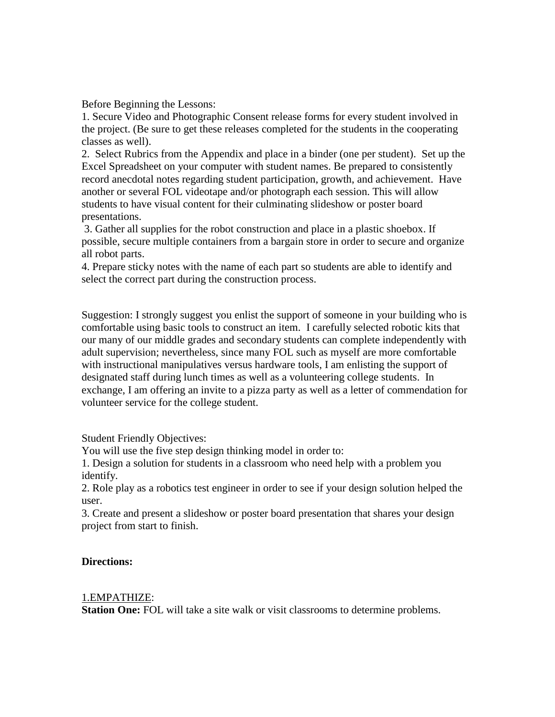Before Beginning the Lessons:

1. Secure Video and Photographic Consent release forms for every student involved in the project. (Be sure to get these releases completed for the students in the cooperating classes as well).

2. Select Rubrics from the Appendix and place in a binder (one per student). Set up the Excel Spreadsheet on your computer with student names. Be prepared to consistently record anecdotal notes regarding student participation, growth, and achievement. Have another or several FOL videotape and/or photograph each session. This will allow students to have visual content for their culminating slideshow or poster board presentations.

3. Gather all supplies for the robot construction and place in a plastic shoebox. If possible, secure multiple containers from a bargain store in order to secure and organize all robot parts.

4. Prepare sticky notes with the name of each part so students are able to identify and select the correct part during the construction process.

Suggestion: I strongly suggest you enlist the support of someone in your building who is comfortable using basic tools to construct an item. I carefully selected robotic kits that our many of our middle grades and secondary students can complete independently with adult supervision; nevertheless, since many FOL such as myself are more comfortable with instructional manipulatives versus hardware tools, I am enlisting the support of designated staff during lunch times as well as a volunteering college students. In exchange, I am offering an invite to a pizza party as well as a letter of commendation for volunteer service for the college student.

Student Friendly Objectives:

You will use the five step design thinking model in order to:

1. Design a solution for students in a classroom who need help with a problem you identify.

2. Role play as a robotics test engineer in order to see if your design solution helped the user.

3. Create and present a slideshow or poster board presentation that shares your design project from start to finish.

#### **Directions:**

#### 1.EMPATHIZE:

**Station One:** FOL will take a site walk or visit classrooms to determine problems.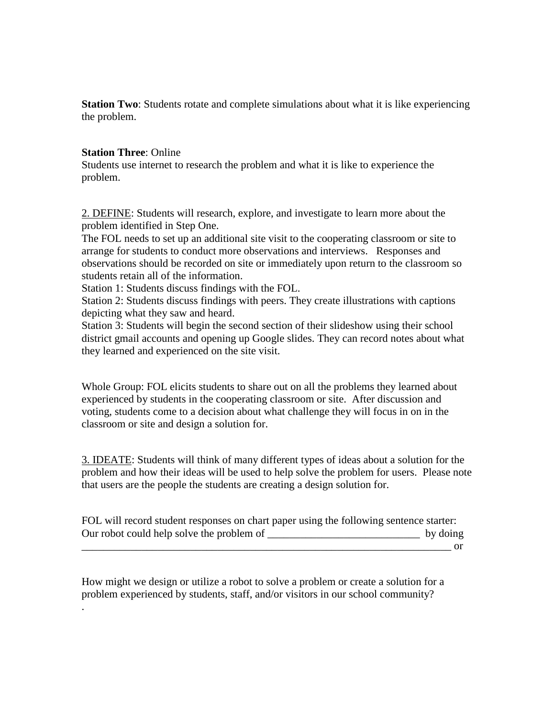**Station Two**: Students rotate and complete simulations about what it is like experiencing the problem.

#### **Station Three**: Online

Students use internet to research the problem and what it is like to experience the problem.

2. DEFINE: Students will research, explore, and investigate to learn more about the problem identified in Step One.

The FOL needs to set up an additional site visit to the cooperating classroom or site to arrange for students to conduct more observations and interviews. Responses and observations should be recorded on site or immediately upon return to the classroom so students retain all of the information.

Station 1: Students discuss findings with the FOL.

Station 2: Students discuss findings with peers. They create illustrations with captions depicting what they saw and heard.

Station 3: Students will begin the second section of their slideshow using their school district gmail accounts and opening up Google slides. They can record notes about what they learned and experienced on the site visit.

Whole Group: FOL elicits students to share out on all the problems they learned about experienced by students in the cooperating classroom or site. After discussion and voting, students come to a decision about what challenge they will focus in on in the classroom or site and design a solution for.

3. IDEATE: Students will think of many different types of ideas about a solution for the problem and how their ideas will be used to help solve the problem for users. Please note that users are the people the students are creating a design solution for.

FOL will record student responses on chart paper using the following sentence starter: Our robot could help solve the problem of \_\_\_\_\_\_\_\_\_\_\_\_\_\_\_\_\_\_\_\_\_\_\_\_\_\_\_\_ by doing  $\overline{\text{or}}$ 

How might we design or utilize a robot to solve a problem or create a solution for a problem experienced by students, staff, and/or visitors in our school community? .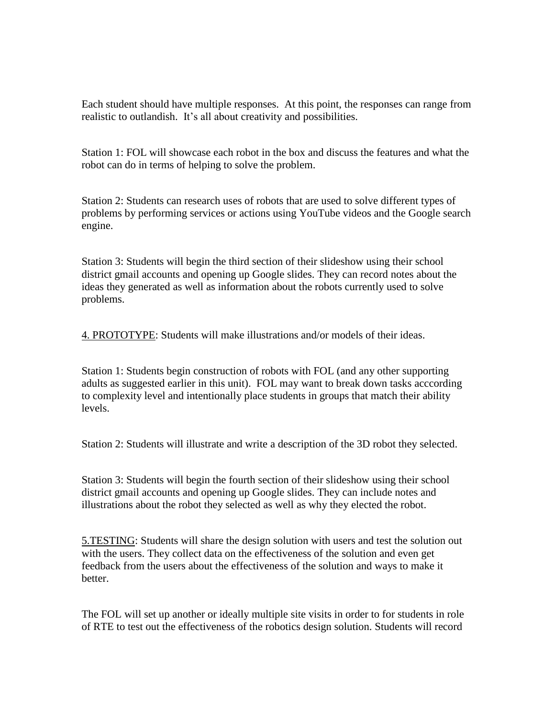Each student should have multiple responses. At this point, the responses can range from realistic to outlandish. It's all about creativity and possibilities.

Station 1: FOL will showcase each robot in the box and discuss the features and what the robot can do in terms of helping to solve the problem.

Station 2: Students can research uses of robots that are used to solve different types of problems by performing services or actions using YouTube videos and the Google search engine.

Station 3: Students will begin the third section of their slideshow using their school district gmail accounts and opening up Google slides. They can record notes about the ideas they generated as well as information about the robots currently used to solve problems.

4. PROTOTYPE: Students will make illustrations and/or models of their ideas.

Station 1: Students begin construction of robots with FOL (and any other supporting adults as suggested earlier in this unit). FOL may want to break down tasks acccording to complexity level and intentionally place students in groups that match their ability levels.

Station 2: Students will illustrate and write a description of the 3D robot they selected.

Station 3: Students will begin the fourth section of their slideshow using their school district gmail accounts and opening up Google slides. They can include notes and illustrations about the robot they selected as well as why they elected the robot.

5.TESTING: Students will share the design solution with users and test the solution out with the users. They collect data on the effectiveness of the solution and even get feedback from the users about the effectiveness of the solution and ways to make it better.

The FOL will set up another or ideally multiple site visits in order to for students in role of RTE to test out the effectiveness of the robotics design solution. Students will record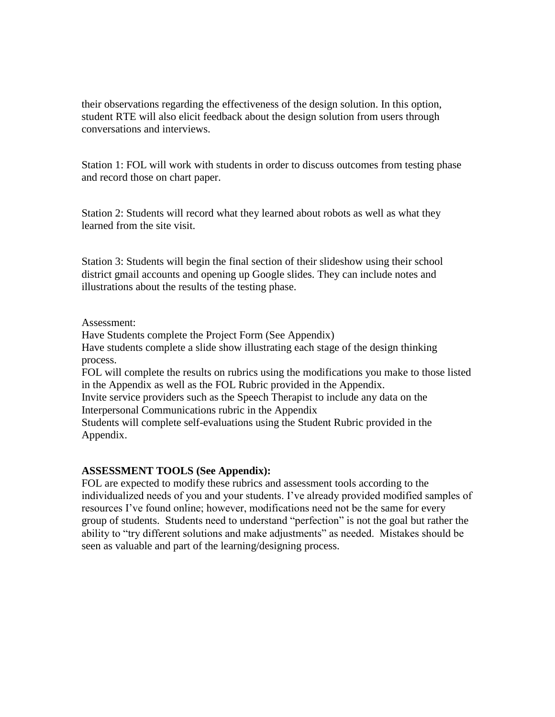their observations regarding the effectiveness of the design solution. In this option, student RTE will also elicit feedback about the design solution from users through conversations and interviews.

Station 1: FOL will work with students in order to discuss outcomes from testing phase and record those on chart paper.

Station 2: Students will record what they learned about robots as well as what they learned from the site visit.

Station 3: Students will begin the final section of their slideshow using their school district gmail accounts and opening up Google slides. They can include notes and illustrations about the results of the testing phase.

#### Assessment:

Have Students complete the Project Form (See Appendix)

Have students complete a slide show illustrating each stage of the design thinking process.

FOL will complete the results on rubrics using the modifications you make to those listed in the Appendix as well as the FOL Rubric provided in the Appendix.

Invite service providers such as the Speech Therapist to include any data on the Interpersonal Communications rubric in the Appendix

Students will complete self-evaluations using the Student Rubric provided in the Appendix.

#### **ASSESSMENT TOOLS (See Appendix):**

FOL are expected to modify these rubrics and assessment tools according to the individualized needs of you and your students. I've already provided modified samples of resources I've found online; however, modifications need not be the same for every group of students. Students need to understand "perfection" is not the goal but rather the ability to "try different solutions and make adjustments" as needed. Mistakes should be seen as valuable and part of the learning/designing process.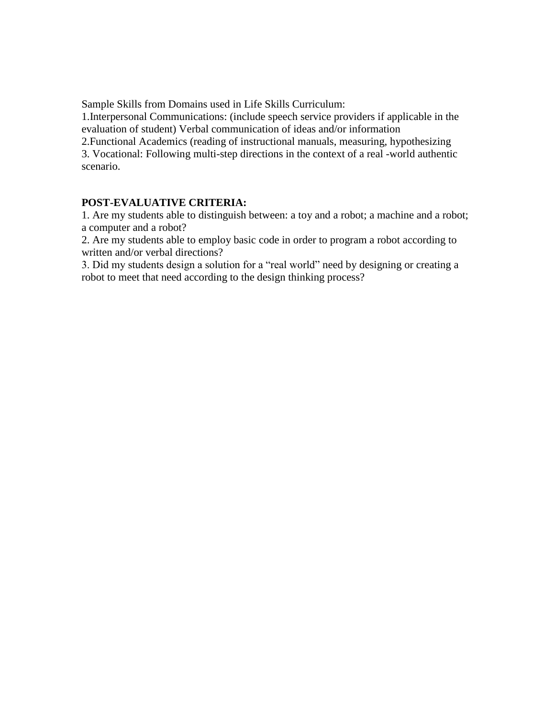Sample Skills from Domains used in Life Skills Curriculum:

1.Interpersonal Communications: (include speech service providers if applicable in the evaluation of student) Verbal communication of ideas and/or information

2.Functional Academics (reading of instructional manuals, measuring, hypothesizing 3. Vocational: Following multi-step directions in the context of a real -world authentic scenario.

### **POST-EVALUATIVE CRITERIA:**

1. Are my students able to distinguish between: a toy and a robot; a machine and a robot; a computer and a robot?

2. Are my students able to employ basic code in order to program a robot according to written and/or verbal directions?

3. Did my students design a solution for a "real world" need by designing or creating a robot to meet that need according to the design thinking process?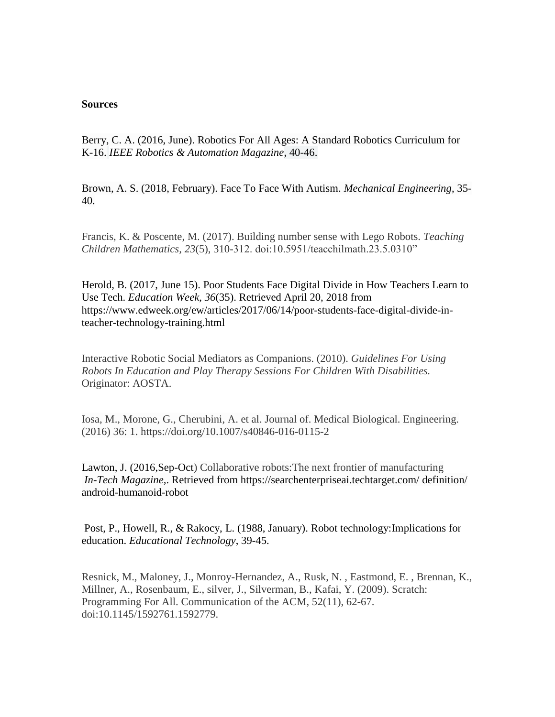#### **Sources**

Berry, C. A. (2016, June). Robotics For All Ages: A Standard Robotics Curriculum for K-16. *IEEE Robotics & Automation Magazine*, 40-46.

Brown, A. S. (2018, February). Face To Face With Autism. *Mechanical Engineering*, 35- 40.

Francis, K. & Poscente, M. (2017). Building number sense with Lego Robots. *Teaching Children Mathematics, 23*(5), 310-312. doi:10.5951/teacchilmath.23.5.0310"

Herold, B. (2017, June 15). Poor Students Face Digital Divide in How Teachers Learn to Use Tech. *Education Week*, *36*(35). Retrieved April 20, 2018 from https://www.edweek.org/ew/articles/2017/06/14/poor-students-face-digital-divide-inteacher-technology-training.html

Interactive Robotic Social Mediators as Companions. (2010). *Guidelines For Using Robots In Education and Play Therapy Sessions For Children With Disabilities.* Originator: AOSTA.

Iosa, M., Morone, G., Cherubini, A. et al. Journal of. Medical Biological. Engineering. (2016) 36: 1. https://doi.org/10.1007/s40846-016-0115-2

Lawton, J. (2016,Sep-Oct) Collaborative robots:The next frontier of manufacturing *In-Tech Magazine,*. Retrieved from https://searchenterpriseai.techtarget.com/ definition/ android-humanoid-robot

Post, P., Howell, R., & Rakocy, L. (1988, January). Robot technology:Implications for education. *Educational Technology*, 39-45.

Resnick, M., Maloney, J., Monroy-Hernandez, A., Rusk, N. , Eastmond, E. , Brennan, K., Millner, A., Rosenbaum, E., silver, J., Silverman, B., Kafai, Y. (2009). Scratch: Programming For All. Communication of the ACM, 52(11), 62-67. doi:10.1145/1592761.1592779.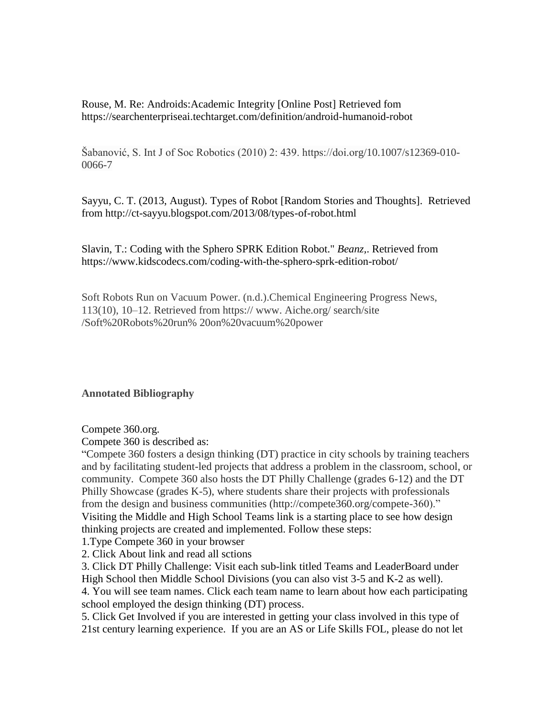Rouse, M. Re: Androids:Academic Integrity [Online Post] Retrieved fom https://searchenterpriseai.techtarget.com/definition/android-humanoid-robot

Šabanović, S. Int J of Soc Robotics (2010) 2: 439. https://doi.org/10.1007/s12369-010- 0066-7

Sayyu, C. T. (2013, August). Types of Robot [Random Stories and Thoughts]. Retrieved from http://ct-sayyu.blogspot.com/2013/08/types-of-robot.html

Slavin, T.: Coding with the Sphero SPRK Edition Robot." *Beanz,*. Retrieved from https://www.kidscodecs.com/coding-with-the-sphero-sprk-edition-robot/

Soft Robots Run on Vacuum Power. (n.d.).Chemical Engineering Progress News, 113(10), 10–12. Retrieved from https:// www. Aiche.org/ search/site /Soft%20Robots%20run% 20on%20vacuum%20power

**Annotated Bibliography** 

Compete 360.org.

Compete 360 is described as:

"Compete 360 fosters a design thinking (DT) practice in city schools by training teachers and by facilitating student-led projects that address a problem in the classroom, school, or community. Compete 360 also hosts the DT Philly Challenge (grades 6-12) and the DT Philly Showcase (grades K-5), where students share their projects with professionals from the design and business communities (http://compete360.org/compete-360)." Visiting the Middle and High School Teams link is a starting place to see how design thinking projects are created and implemented. Follow these steps:

1.Type Compete 360 in your browser

2. Click About link and read all sctions

3. Click DT Philly Challenge: Visit each sub-link titled Teams and LeaderBoard under High School then Middle School Divisions (you can also vist 3-5 and K-2 as well).

4. You will see team names. Click each team name to learn about how each participating school employed the design thinking (DT) process.

5. Click Get Involved if you are interested in getting your class involved in this type of 21st century learning experience. If you are an AS or Life Skills FOL, please do not let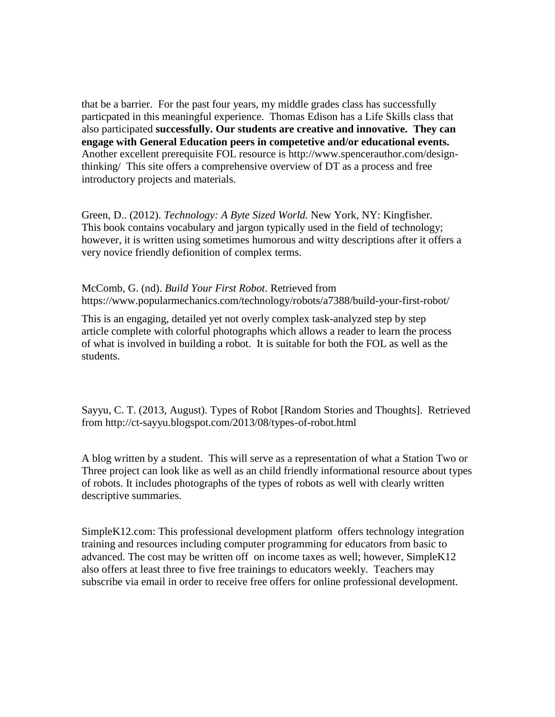that be a barrier. For the past four years, my middle grades class has successfully particpated in this meaningful experience. Thomas Edison has a Life Skills class that also participated **successfully. Our students are creative and innovative. They can engage with General Education peers in competetive and/or educational events.** Another excellent prerequisite FOL resource is http://www.spencerauthor.com/designthinking/ This site offers a comprehensive overview of DT as a process and free introductory projects and materials.

Green, D.. (2012). *Technology: A Byte Sized World.* New York, NY: Kingfisher. This book contains vocabulary and jargon typically used in the field of technology; however, it is written using sometimes humorous and witty descriptions after it offers a very novice friendly defionition of complex terms.

McComb, G. (nd). *Build Your First Robot*. Retrieved from https://www.popularmechanics.com/technology/robots/a7388/build-your-first-robot/

This is an engaging, detailed yet not overly complex task-analyzed step by step article complete with colorful photographs which allows a reader to learn the process of what is involved in building a robot. It is suitable for both the FOL as well as the students.

Sayyu, C. T. (2013, August). Types of Robot [Random Stories and Thoughts]. Retrieved from http://ct-sayyu.blogspot.com/2013/08/types-of-robot.html

A blog written by a student. This will serve as a representation of what a Station Two or Three project can look like as well as an child friendly informational resource about types of robots. It includes photographs of the types of robots as well with clearly written descriptive summaries.

SimpleK12.com: This professional development platform offers technology integration training and resources including computer programming for educators from basic to advanced. The cost may be written off on income taxes as well; however, SimpleK12 also offers at least three to five free trainings to educators weekly. Teachers may subscribe via email in order to receive free offers for online professional development.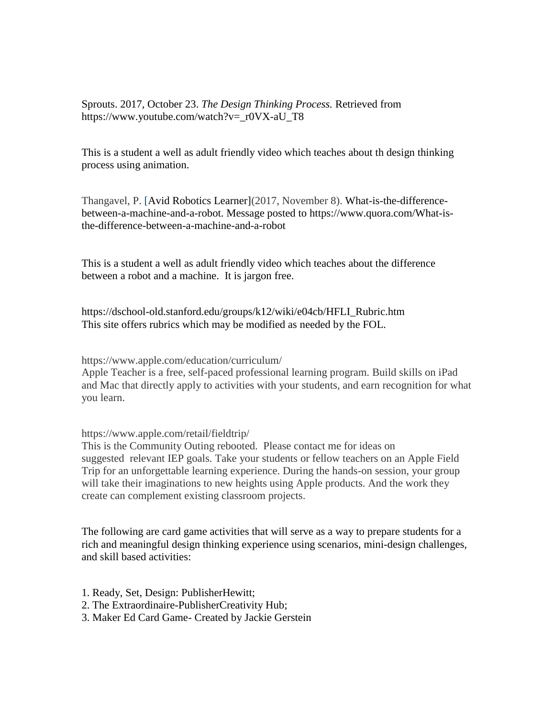Sprouts. 2017, October 23. *The Design Thinking Process.* Retrieved from https://www.youtube.com/watch?v=\_r0VX-aU\_T8

This is a student a well as adult friendly video which teaches about th design thinking process using animation.

Thangavel, P. [Avid Robotics Learner](2017, November 8). What-is-the-differencebetween-a-machine-and-a-robot. Message posted to https://www.quora.com/What-isthe-difference-between-a-machine-and-a-robot

This is a student a well as adult friendly video which teaches about the difference between a robot and a machine. It is jargon free.

https://dschool-old.stanford.edu/groups/k12/wiki/e04cb/HFLI\_Rubric.htm This site offers rubrics which may be modified as needed by the FOL.

https://www.apple.com/education/curriculum/

Apple Teacher is a free, self-paced professional learning program. Build skills on iPad and Mac that directly apply to activities with your students, and earn recognition for what you learn.

https://www.apple.com/retail/fieldtrip/

This is the Community Outing rebooted. Please contact me for ideas on suggested relevant IEP goals. Take your students or fellow teachers on an Apple Field Trip for an unforgettable learning experience. During the hands-on session, your group will take their imaginations to new heights using Apple products. And the work they create can complement existing classroom projects.

The following are card game activities that will serve as a way to prepare students for a rich and meaningful design thinking experience using scenarios, mini-design challenges, and skill based activities:

1. Ready, Set, Design: PublisherHewitt;

2. The Extraordinaire-PublisherCreativity Hub;

3. Maker Ed Card Game- Created by Jackie Gerstein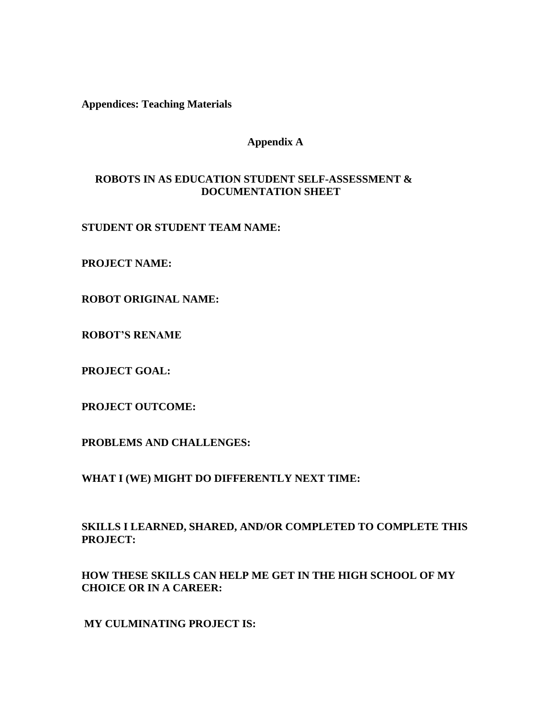**Appendices: Teaching Materials**

## **Appendix A**

## **ROBOTS IN AS EDUCATION STUDENT SELF-ASSESSMENT & DOCUMENTATION SHEET**

### **STUDENT OR STUDENT TEAM NAME:**

**PROJECT NAME:**

**ROBOT ORIGINAL NAME:**

**ROBOT'S RENAME**

**PROJECT GOAL:** 

**PROJECT OUTCOME:**

**PROBLEMS AND CHALLENGES:** 

**WHAT I (WE) MIGHT DO DIFFERENTLY NEXT TIME:**

**SKILLS I LEARNED, SHARED, AND/OR COMPLETED TO COMPLETE THIS PROJECT:**

**HOW THESE SKILLS CAN HELP ME GET IN THE HIGH SCHOOL OF MY CHOICE OR IN A CAREER:**

**MY CULMINATING PROJECT IS:**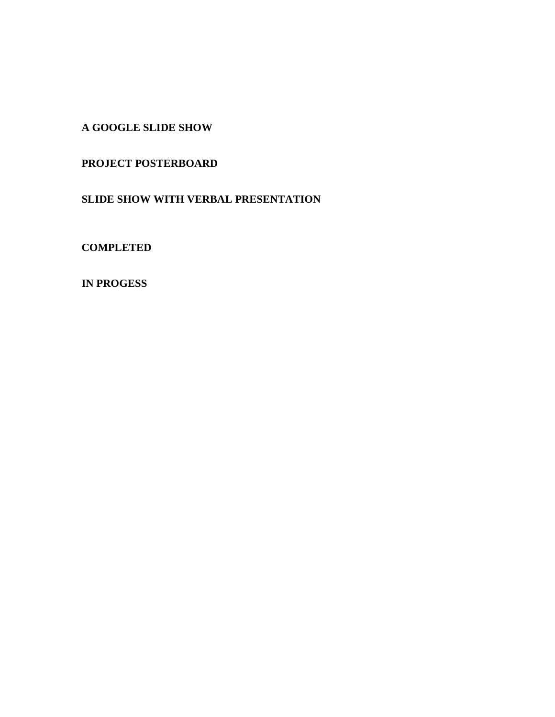**A GOOGLE SLIDE SHOW** 

# **PROJECT POSTERBOARD**

**SLIDE SHOW WITH VERBAL PRESENTATION**

**COMPLETED**

**IN PROGESS**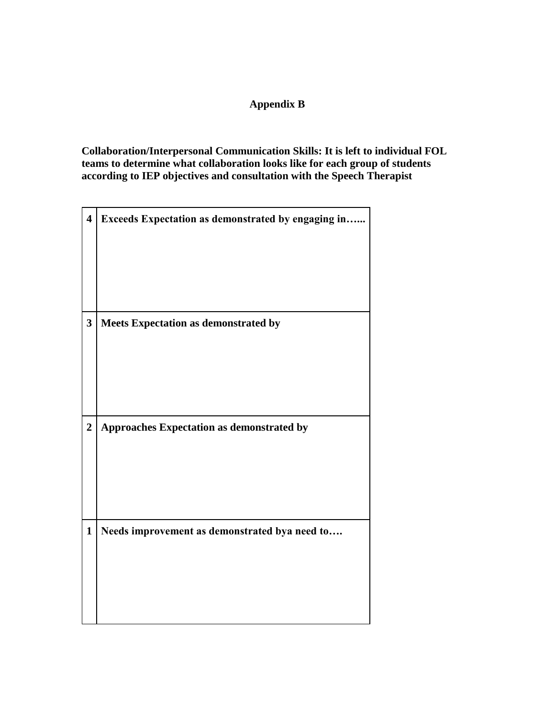# **Appendix B**

**Collaboration/Interpersonal Communication Skills: It is left to individual FOL teams to determine what collaboration looks like for each group of students according to IEP objectives and consultation with the Speech Therapist**

| $\overline{\mathbf{4}}$ | Exceeds Expectation as demonstrated by engaging in |
|-------------------------|----------------------------------------------------|
|                         |                                                    |
| $\overline{\mathbf{3}}$ | Meets Expectation as demonstrated by               |
|                         |                                                    |
|                         |                                                    |
| $\overline{2}$          | Approaches Expectation as demonstrated by          |
|                         |                                                    |
|                         |                                                    |
| $\mathbf{1}$            | Needs improvement as demonstrated bya need to      |
|                         |                                                    |
|                         |                                                    |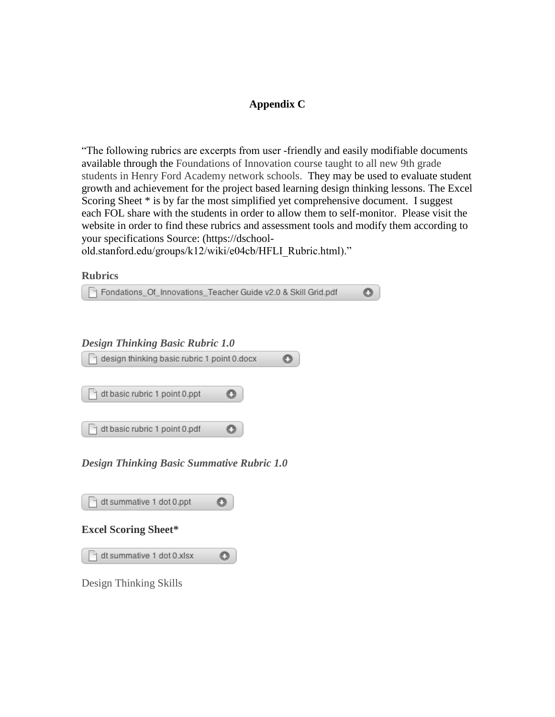# **Appendix C**

"The following rubrics are excerpts from user -friendly and easily modifiable documents available through the Foundations of Innovation course taught to all new 9th grade students in Henry Ford Academy network schools. They may be used to evaluate student growth and achievement for the project based learning design thinking lessons. The Excel Scoring Sheet \* is by far the most simplified yet comprehensive document. I suggest each FOL share with the students in order to allow them to self-monitor. Please visit the website in order to find these rubrics and assessment tools and modify them according to your specifications Source: (https://dschool-

old.stanford.edu/groups/k12/wiki/e04cb/HFLI\_Rubric.html)."

**Rubrics**

| Fondations Of Innovations Teacher Guide v2.0 & Skill Grid.pdf |  |
|---------------------------------------------------------------|--|
| <b>Design Thinking Basic Rubric 1.0</b>                       |  |
| design thinking basic rubric 1 point 0.docx                   |  |
| dt basic rubric 1 point 0.ppt                                 |  |
| dt basic rubric 1 point 0.pdf                                 |  |

*Design Thinking Basic Summative Rubric 1.0*

| dt summative 1 dot 0.ppt    |  |  |  |  |  |  |
|-----------------------------|--|--|--|--|--|--|
| <b>Excel Scoring Sheet*</b> |  |  |  |  |  |  |
| dt summative 1 dot 0.xlsx   |  |  |  |  |  |  |
| Design Thinking Skills      |  |  |  |  |  |  |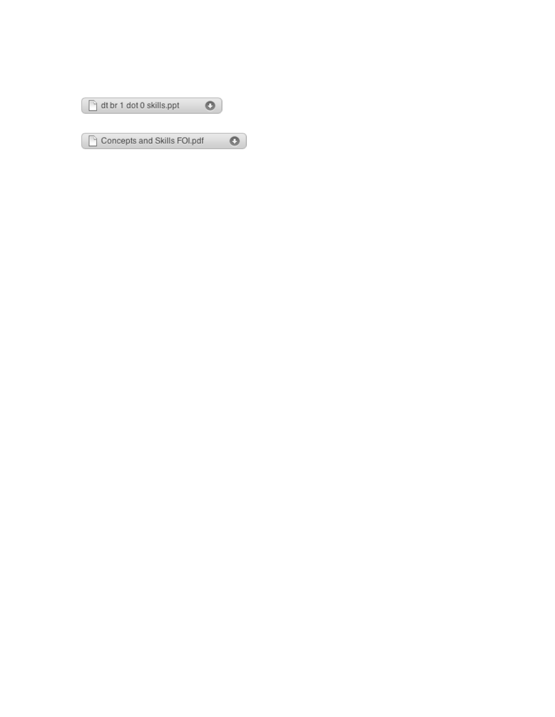| dt br 1 dot 0 skills.ppt    |  |
|-----------------------------|--|
| Concepts and Skills FOI.pdf |  |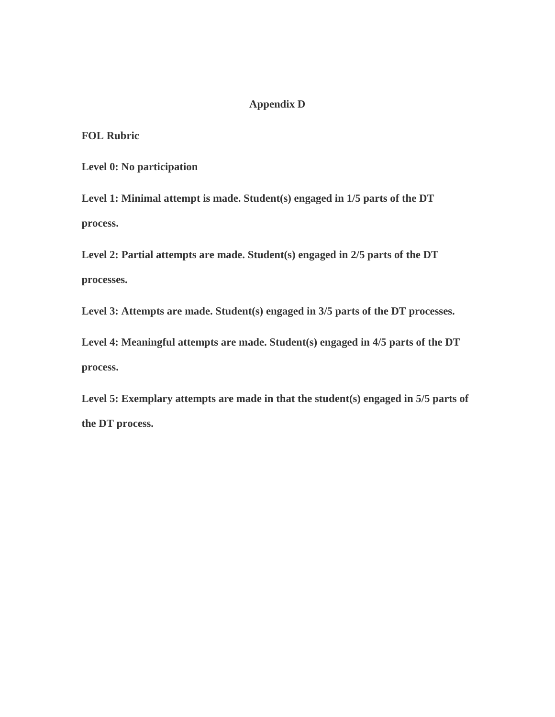# **Appendix D**

**FOL Rubric**

**Level 0: No participation**

**Level 1: Minimal attempt is made. Student(s) engaged in 1/5 parts of the DT process.**

**Level 2: Partial attempts are made. Student(s) engaged in 2/5 parts of the DT processes.**

**Level 3: Attempts are made. Student(s) engaged in 3/5 parts of the DT processes.**

**Level 4: Meaningful attempts are made. Student(s) engaged in 4/5 parts of the DT process.**

**Level 5: Exemplary attempts are made in that the student(s) engaged in 5/5 parts of the DT process.**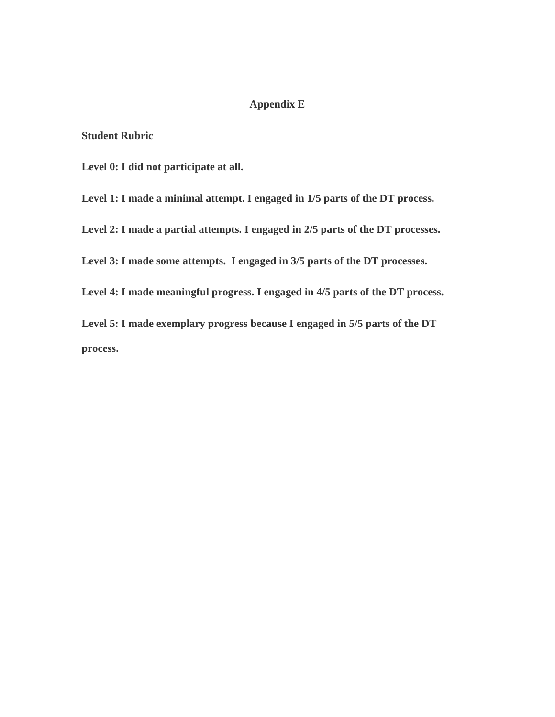# **Appendix E**

**Student Rubric**

**Level 0: I did not participate at all.**

**Level 1: I made a minimal attempt. I engaged in 1/5 parts of the DT process.**

**Level 2: I made a partial attempts. I engaged in 2/5 parts of the DT processes.**

**Level 3: I made some attempts. I engaged in 3/5 parts of the DT processes.**

**Level 4: I made meaningful progress. I engaged in 4/5 parts of the DT process.**

**Level 5: I made exemplary progress because I engaged in 5/5 parts of the DT process.**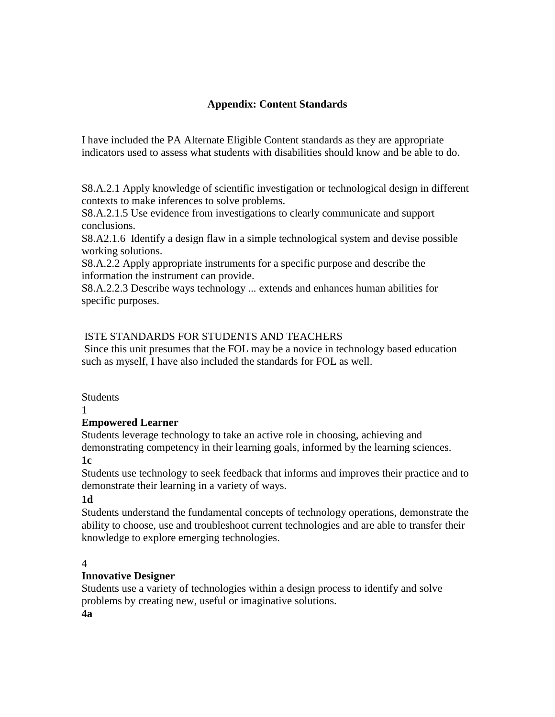# **Appendix: Content Standards**

I have included the PA Alternate Eligible Content standards as they are appropriate indicators used to assess what students with disabilities should know and be able to do.

S8.A.2.1 Apply knowledge of scientific investigation or technological design in different contexts to make inferences to solve problems.

S8.A.2.1.5 Use evidence from investigations to clearly communicate and support conclusions.

S8.A2.1.6 Identify a design flaw in a simple technological system and devise possible working solutions.

S8.A.2.2 Apply appropriate instruments for a specific purpose and describe the information the instrument can provide.

S8.A.2.2.3 Describe ways technology ... extends and enhances human abilities for specific purposes.

# ISTE STANDARDS FOR STUDENTS AND TEACHERS

Since this unit presumes that the FOL may be a novice in technology based education such as myself, I have also included the standards for FOL as well.

#### **Students**

#### 1

# **Empowered Learner**

Students leverage technology to take an active role in choosing, achieving and demonstrating competency in their learning goals, informed by the learning sciences.

# **1c**

Students use technology to seek feedback that informs and improves their practice and to demonstrate their learning in a variety of ways.

# **1d**

Students understand the fundamental concepts of technology operations, demonstrate the ability to choose, use and troubleshoot current technologies and are able to transfer their knowledge to explore emerging technologies.

# 4

# **Innovative Designer**

Students use a variety of technologies within a design process to identify and solve problems by creating new, useful or imaginative solutions. **4a**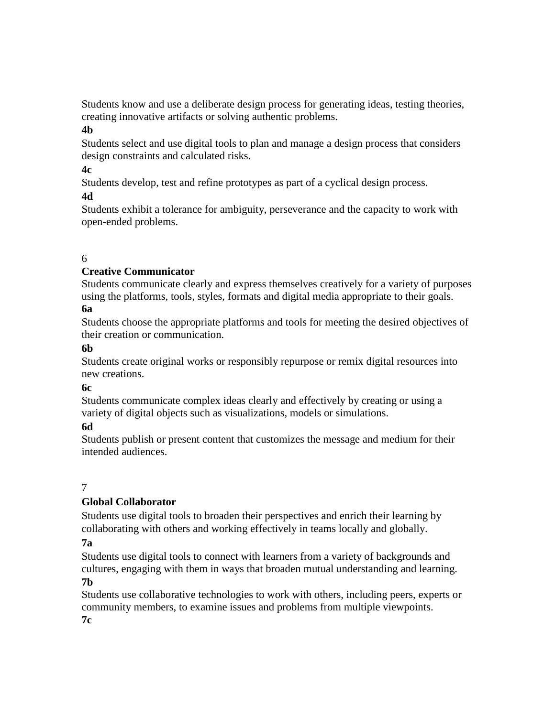Students know and use a deliberate design process for generating ideas, testing theories, creating innovative artifacts or solving authentic problems.

## **4b**

Students select and use digital tools to plan and manage a design process that considers design constraints and calculated risks.

## **4c**

Students develop, test and refine prototypes as part of a cyclical design process.

# **4d**

Students exhibit a tolerance for ambiguity, perseverance and the capacity to work with open-ended problems.

# 6

# **Creative Communicator**

Students communicate clearly and express themselves creatively for a variety of purposes using the platforms, tools, styles, formats and digital media appropriate to their goals. **6a**

Students choose the appropriate platforms and tools for meeting the desired objectives of their creation or communication.

# **6b**

Students create original works or responsibly repurpose or remix digital resources into new creations.

# **6c**

Students communicate complex ideas clearly and effectively by creating or using a variety of digital objects such as visualizations, models or simulations.

# **6d**

Students publish or present content that customizes the message and medium for their intended audiences.

# 7

# **Global Collaborator**

Students use digital tools to broaden their perspectives and enrich their learning by collaborating with others and working effectively in teams locally and globally.

# **7a**

Students use digital tools to connect with learners from a variety of backgrounds and cultures, engaging with them in ways that broaden mutual understanding and learning.

# **7b**

Students use collaborative technologies to work with others, including peers, experts or community members, to examine issues and problems from multiple viewpoints. **7c**